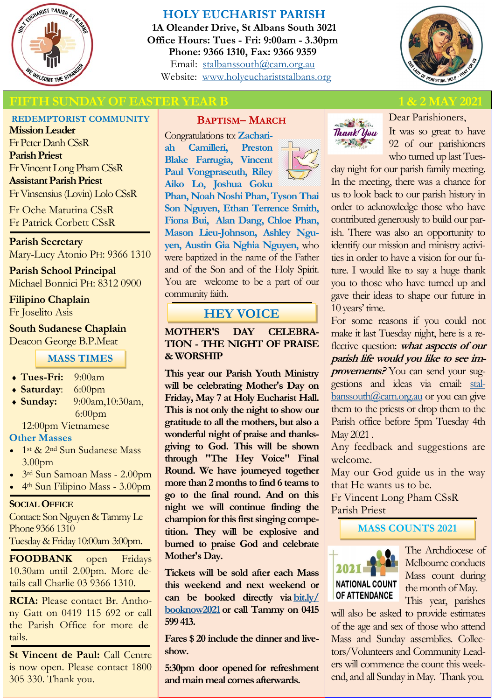

# **HOLY EUCHARIST PARISH**

**1A Oleander Drive, St Albans South 3021 Office Hours: Tues - Fri: 9:00am - 3.30pm Phone: 9366 1310, Fax: 9366 9359** Email: [stalbanssouth@cam.org.au](mailto:stalbanssouth@cam.org.au) Website:[www.holyeuchariststalbans.org](http://www.holyeuchariststalbans.org)



# **FIFTH SUNDAY OF EASTER YEAR B**

## **REDEMPTORIST COMMUNITY**

**Mission Leader** Fr Peter Danh CSsR **Parish Priest** Fr Vincent Long Pham CSsR **Assistant Parish Priest**  Fr Vinsensius (Lovin) Lolo CSsR

Fr Oche Matutina CSsR Fr Patrick Corbett CSsR

**Parish Secretary** Mary-Lucy Atonio PH: 9366 1310

**Parish School Principal** Michael Bonnici PH: 8312 0900

## **Filipino Chaplain** Fr Joselito Asis

**South Sudanese Chaplain** Deacon George B.P.Meat

## **MASS TIMES**

- **Tues-Fri:** 9:00am
- **Saturday**: 6:00pm
- **Sunday:** 9:00am,10:30am, 6:00pm

12:00pm Vietnamese

#### **Other Masses**

- 1<sup>st</sup> & 2<sup>nd</sup> Sun Sudanese Mass -3.00pm
- 3rd Sun Samoan Mass 2.00pm
- 4th Sun Filipino Mass 3.00pm

#### **SOCIAL OFFICE**

Contact: Son Nguyen & Tammy Le Phone 9366 1310 Tuesday & Friday 10:00am-3:00pm.

**FOODBANK** open Fridays 10.30am until 2.00pm. More details call Charlie 03 9366 1310.

**RCIA:** Please contact Br. Anthony Gatt on 0419 115 692 or call the Parish Office for more details.

**St Vincent de Paul:** Call Centre is now open. Please contact 1800 305 330. Thank you.

## **BAPTISM– MARCH**

Congratulations to: **Zachariah Camilleri, Preston Blake Farrugia, Vincent Paul Vongpraseuth, Riley Aiko Lo, Joshua Goku Phan, Noah Noshi Phan, Tyson Thai Son Nguyen, Ethan Terrence Smith, Fiona Bui, Alan Dang, Chloe Phan, Mason Lieu-Johnson, Ashley Nguyen, Austin Gia Nghia Nguyen,** who were baptized in the name of the Father and of the Son and of the Holy Spirit. You are welcome to be a part of our community faith.

# **HEY VOICE**

**MOTHER'S DAY CELEBRA-TION - THE NIGHT OF PRAISE & WORSHIP**

**This year our Parish Youth Ministry will be celebrating Mother's Day on Friday, May 7 at Holy Eucharist Hall. This is not only the night to show our gratitude to all the mothers, but also a wonderful night of praise and thanksgiving to God. This will be shown through "The Hey Voice" Final Round. We have journeyed together more than 2 months to find 6 teams to go to the final round. And on this night we will continue finding the champion for this first singing competition. They will be explosive and burned to praise God and celebrate Mother's Day.**

**Tickets will be sold after each Mass this weekend and next weekend or can be booked directly via [bit.ly/](https://l.facebook.com/l.php?u=https%3A%2F%2Fbit.ly%2Fbooknow2021%3Ffbclid%3DIwAR30VCaNMQ1zXas8QAI5V7QQtgtE8WnCHv33wHW-Ed4FXZQEll0pT1pGVcs&h=AT3oGK_9UCjoMsntZAafYagHw4DqVp3zu-Q5neNmo7pta0o2xLAx0V-BIcsPYSrJMkTry_nFEkjCwYZ5mKFjpycrfvMLJyMO6F07PGP6StOfD-ge4QZG33) [booknow2021](https://l.facebook.com/l.php?u=https%3A%2F%2Fbit.ly%2Fbooknow2021%3Ffbclid%3DIwAR30VCaNMQ1zXas8QAI5V7QQtgtE8WnCHv33wHW-Ed4FXZQEll0pT1pGVcs&h=AT3oGK_9UCjoMsntZAafYagHw4DqVp3zu-Q5neNmo7pta0o2xLAx0V-BIcsPYSrJMkTry_nFEkjCwYZ5mKFjpycrfvMLJyMO6F07PGP6StOfD-ge4QZG33) or call Tammy on 0415 599 413.**

**Fares \$ 20 include the dinner and liveshow.**

**5:30pm door opened for refreshment and main meal comes afterwards.**



Dear Parishioners, It was so great to have

92 of our parishioners who turned up last Tues-

day night for our parish family meeting. In the meeting, there was a chance for us to look back to our parish history in order to acknowledge those who have contributed generously to build our parish. There was also an opportunity to identify our mission and ministry activities in order to have a vision for our future. I would like to say a huge thank you to those who have turned up and gave their ideas to shape our future in 10 years' time.

For some reasons if you could not make it last Tuesday night, here is a reflective question: **what aspects of our parish life would you like to see improvements?** You can send your suggestions and ideas via email: [stal](mailto:stalbanssouth@cam.org.au)[banssouth@cam.org.au](mailto:stalbanssouth@cam.org.au) or you can give them to the priests or drop them to the Parish office before 5pm Tuesday 4th May 2021 .

Any feedback and suggestions are welcome.

May our God guide us in the way that He wants us to be.

Fr Vincent Long Pham CSsR Parish Priest

# **MASS COUNTS 2021**



The Archdiocese of Melbourne conducts Mass count during the month of May. This year, parishes

will also be asked to provide estimates of the age and sex of those who attend Mass and Sunday assemblies. Collectors/Volunteers and Community Leaders will commence the count this weekend, and all Sunday in May. Thank you.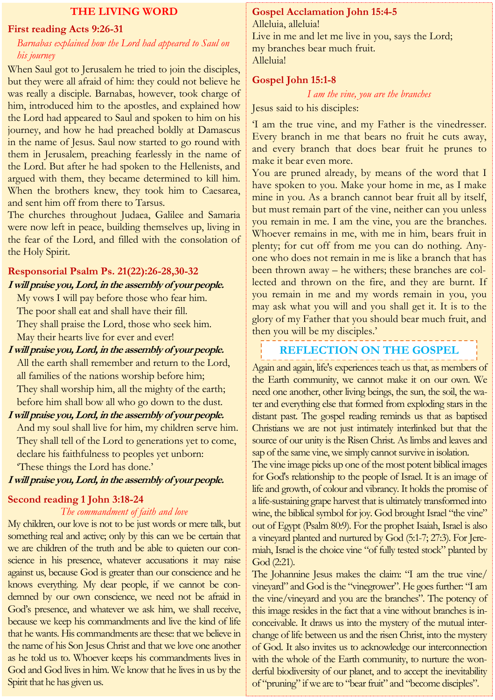#### **THE LIVING WORD**

#### **First reading Acts 9:26-31**

## *Barnabas explained how the Lord had appeared to Saul on his journey*

When Saul got to Jerusalem he tried to join the disciples, but they were all afraid of him: they could not believe he was really a disciple. Barnabas, however, took charge of him, introduced him to the apostles, and explained how the Lord had appeared to Saul and spoken to him on his journey, and how he had preached boldly at Damascus in the name of Jesus. Saul now started to go round with them in Jerusalem, preaching fearlessly in the name of the Lord. But after he had spoken to the Hellenists, and argued with them, they became determined to kill him. When the brothers knew, they took him to Caesarea, and sent him off from there to Tarsus.

The churches throughout Judaea, Galilee and Samaria were now left in peace, building themselves up, living in the fear of the Lord, and filled with the consolation of the Holy Spirit.

# **Responsorial Psalm Ps. 21(22):26-28,30-32 I will praise you, Lord, in the assembly of your people.**

My vows I will pay before those who fear him. The poor shall eat and shall have their fill. They shall praise the Lord, those who seek him. May their hearts live for ever and ever!

**I will praise you, Lord, in the assembly of your people.** All the earth shall remember and return to the Lord, all families of the nations worship before him; They shall worship him, all the mighty of the earth; before him shall bow all who go down to the dust.

## **I will praise you, Lord, in the assembly of your people.**

And my soul shall live for him, my children serve him. They shall tell of the Lord to generations yet to come, declare his faithfulness to peoples yet unborn: 'These things the Lord has done.'

#### **I will praise you, Lord, in the assembly of your people.**

## **Second reading 1 John 3:18-24**

#### *The commandment of faith and love*

My children, our love is not to be just words or mere talk, but something real and active; only by this can we be certain that we are children of the truth and be able to quieten our conscience in his presence, whatever accusations it may raise against us, because God is greater than our conscience and he knows everything. My dear people, if we cannot be condemned by our own conscience, we need not be afraid in God's presence, and whatever we ask him, we shall receive, because we keep his commandments and live the kind of life that he wants. His commandments are these: that we believe in the name of his Son Jesus Christ and that we love one another as he told us to. Whoever keeps his commandments lives in God and God lives in him. We know that he lives in us by the Spirit that he has given us.

#### **Gospel Acclamation John 15:4-5**

Alleluia, alleluia! Live in me and let me live in you, says the Lord; my branches bear much fruit. Alleluia!

#### **Gospel John 15:1-8**

*I am the vine, you are the branches*

Jesus said to his disciples:

'I am the true vine, and my Father is the vinedresser. Every branch in me that bears no fruit he cuts away, and every branch that does bear fruit he prunes to make it bear even more.

You are pruned already, by means of the word that I have spoken to you. Make your home in me, as I make mine in you. As a branch cannot bear fruit all by itself, but must remain part of the vine, neither can you unless you remain in me. I am the vine, you are the branches. Whoever remains in me, with me in him, bears fruit in plenty; for cut off from me you can do nothing. Anyone who does not remain in me is like a branch that has been thrown away – he withers; these branches are collected and thrown on the fire, and they are burnt. If you remain in me and my words remain in you, you may ask what you will and you shall get it. It is to the glory of my Father that you should bear much fruit, and then you will be my disciples.'

# **REFLECTION ON THE GOSPEL**

Again and again, life's experiences teach us that, as members of the Earth community, we cannot make it on our own. We need one another, other living beings, the sun, the soil, the water and everything else that formed from exploding stars in the distant past. The gospel reading reminds us that as baptised Christians we are not just intimately interlinked but that the source of our unity is the Risen Christ. As limbs and leaves and sap of the same vine, we simply cannot survive in isolation.

The vine image picks up one of the most potent biblical images for God's relationship to the people of Israel. It is an image of life and growth, of colour and vibrancy. It holds the promise of a life-sustaining grape harvest that is ultimately transformed into wine, the biblical symbol for joy. God brought Israel "the vine" out of Egypt (Psalm 80:9). For the prophet Isaiah, Israel is also a vineyard planted and nurtured by God (5:1-7; 27:3). For Jeremiah, Israel is the choice vine "of fully tested stock" planted by God (2:21).

The Johannine Jesus makes the claim: "I am the true vine/ vineyard" and God is the "vinegrower". He goes further: "I am the vine/vineyard and you are the branches". The potency of this image resides in the fact that a vine without branches is inconceivable. It draws us into the mystery of the mutual interchange of life between us and the risen Christ, into the mystery of God. It also invites us to acknowledge our interconnection with the whole of the Earth community, to nurture the wonderful biodiversity of our planet, and to accept the inevitability of "pruning" if we are to "bear fruit" and "become disciples".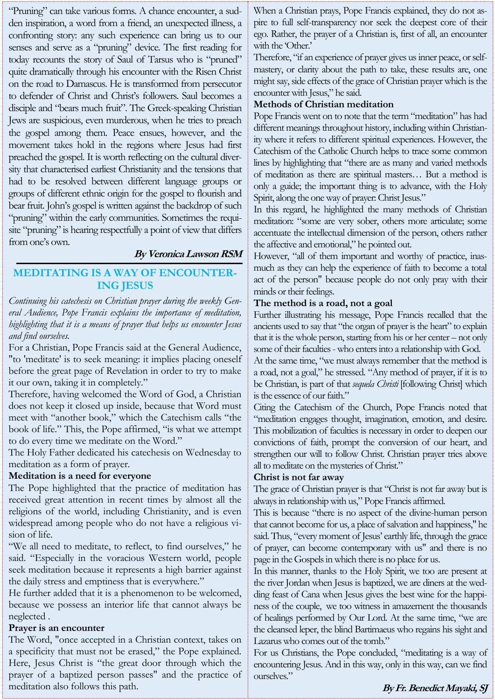"Pruning" can take various forms. A chance encounter, a sudden inspiration, a word from a friend, an unexpected illness, a confronting story: any such experience can bring us to our senses and serve as a "pruning" device. The first reading for today recounts the story of Saul of Tarsus who is "pruned" quite dramatically through his encounter with the Risen Christ on the road to Damascus. He is transformed from persecutor to defender of Christ and Christ's followers. Saul becomes a disciple and "bears much fruit". The Greek-speaking Christian Jews are suspicious, even murderous, when he tries to preach the gospel among them. Peace ensues, however, and the movement takes hold in the regions where Jesus had first preached the gospel. It is worth reflecting on the cultural diversity that characterised earliest Christianity and the tensions that had to be resolved between different language groups or groups of different ethnic origin for the gospel to flourish and bear fruit. John's gospel is written against the backdrop of such "pruning" within the early communities. Sometimes the requisite "pruning" is hearing respectfully a point of view that differs from one's own.

#### **By Veronica Lawson RSM**

# **MEDITATING IS A WAY OF ENCOUNTER-ING JESUS**

*Continuing his catechesis on Christian prayer during the weekly General Audience, Pope Francis explains the importance of meditation, highlighting that it is a means of prayer that helps us encounter Jesus and find ourselves.*

For a Christian, Pope Francis said at the General Audience, "to 'meditate' is to seek meaning: it implies placing oneself before the great page of Revelation in order to try to make it our own, taking it in completely."

Therefore, having welcomed the Word of God, a Christian does not keep it closed up inside, because that Word must meet with "another book," which the Catechism calls "the book of life." This, the Pope affirmed, "is what we attempt to do every time we meditate on the Word."

The Holy Father dedicated his catechesis on Wednesday to meditation as a form of prayer.

#### **Meditation is a need for everyone**

The Pope highlighted that the practice of meditation has received great attention in recent times by almost all the religions of the world, including Christianity, and is even widespread among people who do not have a religious vision of life.

"We all need to meditate, to reflect, to find ourselves," he said. "Especially in the voracious Western world, people seek meditation because it represents a high barrier against the daily stress and emptiness that is everywhere."

He further added that it is a phenomenon to be welcomed, because we possess an interior life that cannot always be neglected .

#### **Prayer is an encounter**

The Word, "once accepted in a Christian context, takes on a specificity that must not be erased," the Pope explained. Here, Jesus Christ is "the great door through which the prayer of a baptized person passes" and the practice of meditation also follows this path.

When a Christian prays, Pope Francis explained, they do not aspire to full self-transparency nor seek the deepest core of their ego. Rather, the prayer of a Christian is, first of all, an encounter with the 'Other.'

Therefore, "if an experience of prayer gives us inner peace, or selfmastery, or clarity about the path to take, these results are, one might say, side effects of the grace of Christian prayer which is the encounter with Jesus," he said.

## **Methods of Christian meditation**

Pope Francis went on to note that the term "meditation" has had different meanings throughout history, including within Christianity where it refers to different spiritual experiences. However, the Catechism of the Catholic Church helps to trace some common lines by highlighting that "there are as many and varied methods of meditation as there are spiritual masters… But a method is only a guide; the important thing is to advance, with the Holy Spirit, along the one way of prayer: Christ Jesus."

In this regard, he highlighted the many methods of Christian meditation: "some are very sober, others more articulate; some accentuate the intellectual dimension of the person, others rather the affective and emotional," he pointed out.

However, "all of them important and worthy of practice, inasmuch as they can help the experience of faith to become a total act of the person" because people do not only pray with their minds or their feelings.

#### **The method is a road, not a goal**

Further illustrating his message, Pope Francis recalled that the ancients used to say that "the organ of prayer is the heart" to explain that it is the whole person, starting from his or her center – not only some of their faculties -who enters into a relationship with God.

At the same time, "we must always remember that the method is a road, not a goal," he stressed. "Any method of prayer, if it is to be Christian, is part of that *sequela Christi* [following Christ] which is the essence of our faith."

Citing the Catechism of the Church, Pope Francis noted that "meditation engages thought, imagination, emotion, and desire. This mobilization of faculties is necessary in order to deepen our convictions of faith, prompt the conversion of our heart, and strengthen our will to follow Christ. Christian prayer tries above all to meditate on the mysteries of Christ."

#### **Christ is not far away**

The grace of Christian prayer is that "Christ is not far away but is always in relationship with us," Pope Francis affirmed.

This is because "there is no aspect of the divine-human person that cannot become for us, a place of salvation and happiness," he said. Thus, "every moment of Jesus' earthly life, through the grace of prayer, can become contemporary with us" and there is no page in the Gospels in which there is no place for us.

In this manner, thanks to the Holy Spirit, we too are present at the river Jordan when Jesus is baptized, we are diners at the wedding feast of Cana when Jesus gives the best wine for the happiness of the couple, we too witness in amazement the thousands of healings performed by Our Lord. At the same time, "we are the cleansed leper, the blind Bartimaeus who regains his sight and Lazarus who comes out of the tomb."

For us Christians, the Pope concluded, "meditating is a way of encountering Jesus. And in this way, only in this way, can we find ourselves."